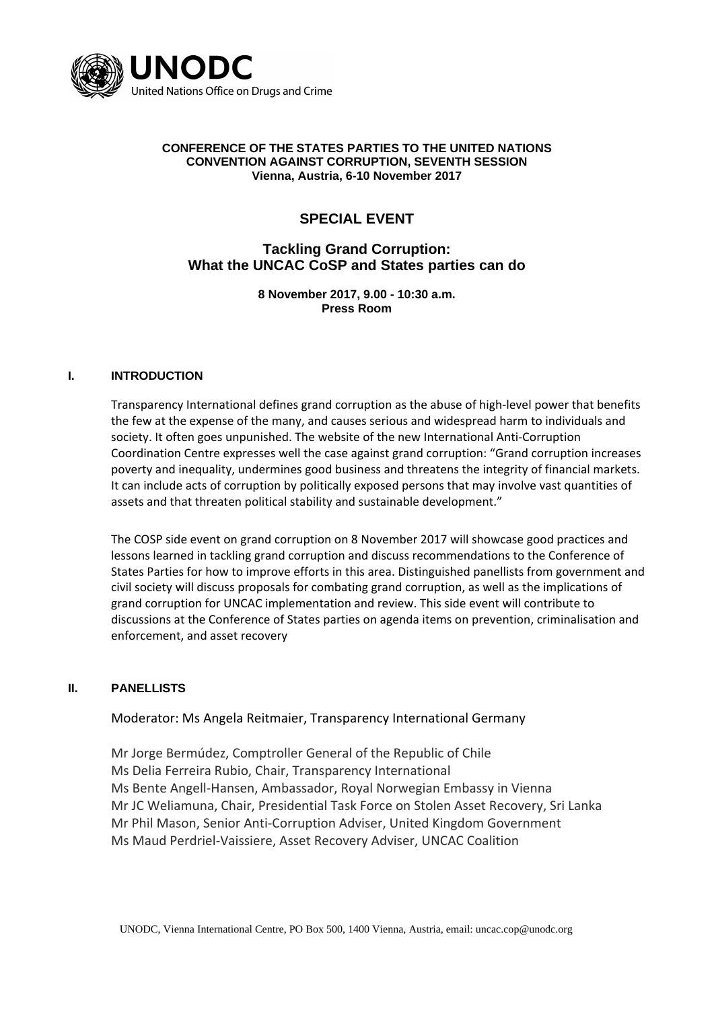

#### **CONFERENCE OF THE STATES PARTIES TO THE UNITED NATIONS CONVENTION AGAINST CORRUPTION, SEVENTH SESSION Vienna, Austria, 6-10 November 2017**

# **SPECIAL EVENT**

# **Tackling Grand Corruption: What the UNCAC CoSP and States parties can do**

**8 November 2017, 9.00 - 10:30 a.m. Press Room**

## **I. INTRODUCTION**

Transparency International defines grand corruption as the abuse of high-level power that benefits the few at the expense of the many, and causes serious and widespread harm to individuals and society. It often goes unpunished. The website of the new International Anti-Corruption Coordination Centre expresses well the case against grand corruption: "Grand corruption increases poverty and inequality, undermines good business and threatens the integrity of financial markets. It can include acts of corruption by politically exposed persons that may involve vast quantities of assets and that threaten political stability and sustainable development."

The COSP side event on grand corruption on 8 November 2017 will showcase good practices and lessons learned in tackling grand corruption and discuss recommendations to the Conference of States Parties for how to improve efforts in this area. Distinguished panellists from government and civil society will discuss proposals for combating grand corruption, as well as the implications of grand corruption for UNCAC implementation and review. This side event will contribute to discussions at the Conference of States parties on agenda items on prevention, criminalisation and enforcement, and asset recovery

#### **II. PANELLISTS**

Moderator: Ms Angela Reitmaier, Transparency International Germany

Mr Jorge Bermúdez, Comptroller General of the Republic of Chile Ms Delia Ferreira Rubio, Chair, Transparency International Ms Bente Angell-Hansen, Ambassador, Royal Norwegian Embassy in Vienna Mr JC Weliamuna, Chair, Presidential Task Force on Stolen Asset Recovery, Sri Lanka Mr Phil Mason, Senior Anti-Corruption Adviser, United Kingdom Government Ms Maud Perdriel-Vaissiere, Asset Recovery Adviser, UNCAC Coalition